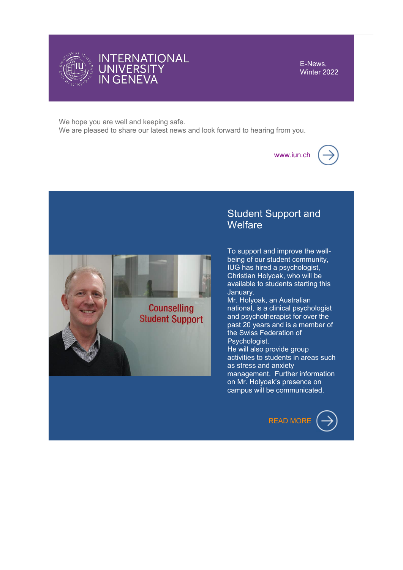

E-News, Winter 2022

We hope you are well and keeping safe. We are pleased to share our latest news and look forward to hearing from you.

[www.iun.ch](https://www.iun.ch/en-en)



# Student Support and **Welfare**

To support and improve the wellbeing of our student community, IUG has hired a psychologist, Christian Holyoak, who will be available to students starting this January.

Mr. Holyoak, an Australian national, is a clinical psychologist and psychotherapist for over the past 20 years and is a member of the Swiss Federation of Psychologist.

He will also provide group activities to students in areas such as stress and anxiety management. Further information on Mr. Holyoak's presence on campus will be communicated.



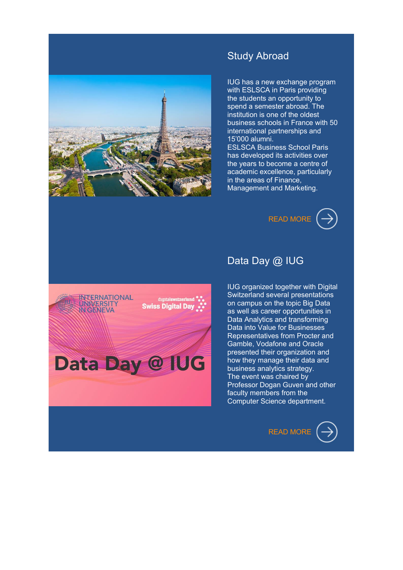

## Study Abroad

IUG has a new exchange program with ESLSCA in Paris providing the students an opportunity to spend a semester abroad. The institution is one of the oldest business schools in France with 50 international partnerships and 15'000 alumni.

ESLSCA Business School Paris has developed its activities over the years to become a centre of academic excellence, particularly in the areas of Finance, Management and Marketing.





## Data Day @ IUG

IUG organized together with Digital Switzerland several presentations on campus on the topic Big Data as well as career opportunities in Data Analytics and transforming Data into Value for Businesses Representatives from Procter and Gamble, Vodafone and Oracle presented their organization and how they manage their data and business analytics strategy. The event was chaired by Professor Dogan Guven and other faculty members from the Computer Science department.

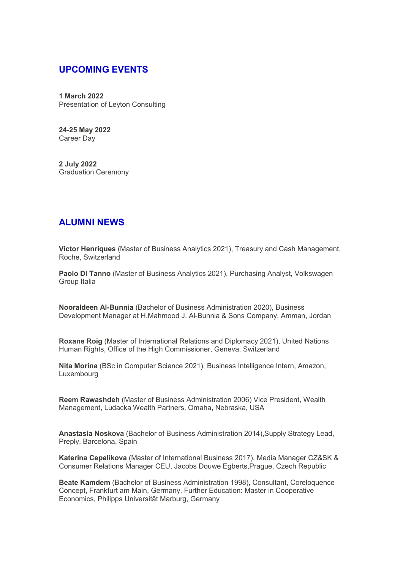### **UPCOMING EVENTS**

**1 March 2022** Presentation of Leyton Consulting

**24-25 May 2022** Career Day

**2 July 2022** Graduation Ceremony

### **ALUMNI NEWS**

**Victor Henriques** (Master of Business Analytics 2021), Treasury and Cash Management, Roche, Switzerland

**Paolo Di Tanno** (Master of Business Analytics 2021), Purchasing Analyst, Volkswagen Group Italia

**Nooraldeen Al-Bunnia** (Bachelor of Business Administration 2020), Business Development Manager at H.Mahmood J. Al-Bunnia & Sons Company, Amman, Jordan

**Roxane Roig** (Master of International Relations and Diplomacy 2021), United Nations Human Rights, Office of the High Commissioner, Geneva, Switzerland

**Nita Morina** (BSc in Computer Science 2021), Business Intelligence Intern, Amazon, Luxembourg

**Reem Rawashdeh** (Master of Business Administration 2006) Vice President, Wealth Management, Ludacka Wealth Partners, Omaha, Nebraska, USA

**Anastasia Noskova** (Bachelor of Business Administration 2014),Supply Strategy Lead, Preply, Barcelona, Spain

**Katerina Cepelikova** (Master of International Business 2017), Media Manager CZ&SK & Consumer Relations Manager CEU, Jacobs Douwe Egberts,Prague, Czech Republic

**Beate Kamdem** (Bachelor of Business Administration 1998), Consultant, Coreloquence Concept, Frankfurt am Main, Germany. Further Education: Master in Cooperative Economics, Philipps Universität Marburg, Germany